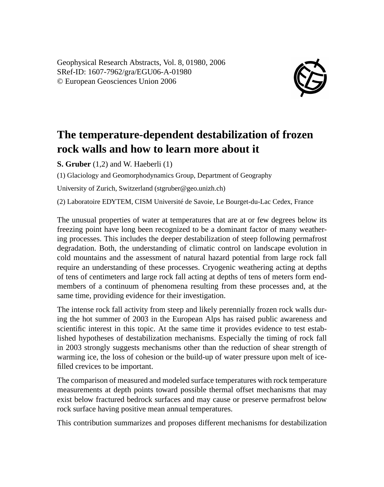Geophysical Research Abstracts, Vol. 8, 01980, 2006 SRef-ID: 1607-7962/gra/EGU06-A-01980 © European Geosciences Union 2006



## **The temperature-dependent destabilization of frozen rock walls and how to learn more about it**

**S. Gruber** (1,2) and W. Haeberli (1)

(1) Glaciology and Geomorphodynamics Group, Department of Geography

University of Zurich, Switzerland (stgruber@geo.unizh.ch)

(2) Laboratoire EDYTEM, CISM Université de Savoie, Le Bourget-du-Lac Cedex, France

The unusual properties of water at temperatures that are at or few degrees below its freezing point have long been recognized to be a dominant factor of many weathering processes. This includes the deeper destabilization of steep following permafrost degradation. Both, the understanding of climatic control on landscape evolution in cold mountains and the assessment of natural hazard potential from large rock fall require an understanding of these processes. Cryogenic weathering acting at depths of tens of centimeters and large rock fall acting at depths of tens of meters form endmembers of a continuum of phenomena resulting from these processes and, at the same time, providing evidence for their investigation.

The intense rock fall activity from steep and likely perennially frozen rock walls during the hot summer of 2003 in the European Alps has raised public awareness and scientific interest in this topic. At the same time it provides evidence to test established hypotheses of destabilization mechanisms. Especially the timing of rock fall in 2003 strongly suggests mechanisms other than the reduction of shear strength of warming ice, the loss of cohesion or the build-up of water pressure upon melt of icefilled crevices to be important.

The comparison of measured and modeled surface temperatures with rock temperature measurements at depth points toward possible thermal offset mechanisms that may exist below fractured bedrock surfaces and may cause or preserve permafrost below rock surface having positive mean annual temperatures.

This contribution summarizes and proposes different mechanisms for destabilization